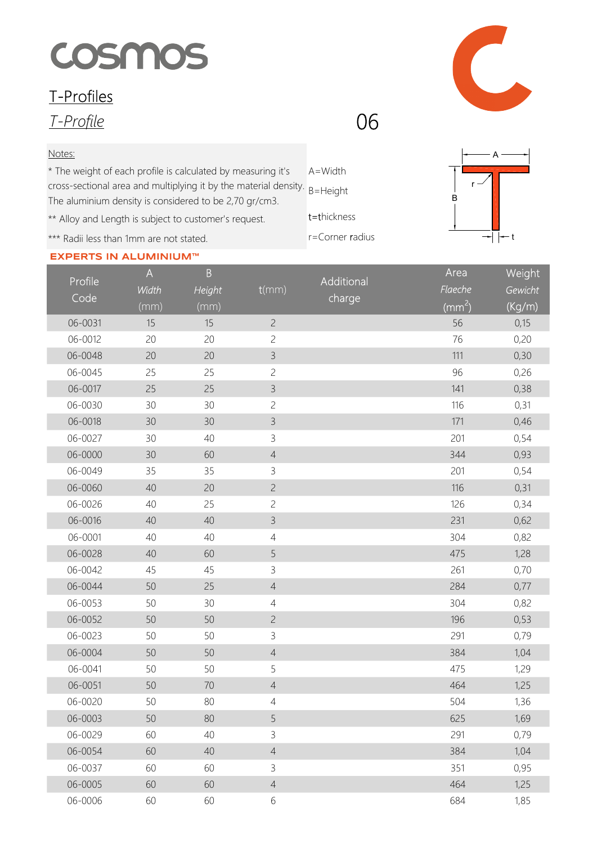## COSMOS

## T-Profiles

T-Profile

## Notes:

A=Width cross-sectional area and multiplying it by the material density. B=Height \* The weight of each profile is calculated by measuring it's The aluminium density is considered to be 2,70 gr/cm3.

\*\* Alloy and Length is subject to customer's request.

\*\*\* Radii less than 1mm are not stated.

## **EXPERTS IN ALUMINIUM™**

t=thickness r=Corner radius





06